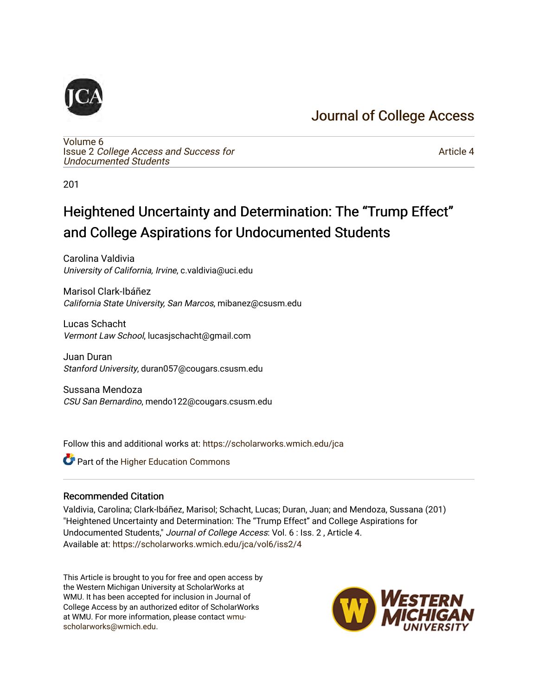## [Journal of College Access](https://scholarworks.wmich.edu/jca)



[Volume 6](https://scholarworks.wmich.edu/jca/vol6) Issue 2 [College Access and Success for](https://scholarworks.wmich.edu/jca/vol6/iss2)  [Undocumented Students](https://scholarworks.wmich.edu/jca/vol6/iss2) 

[Article 4](https://scholarworks.wmich.edu/jca/vol6/iss2/4) 

201

# Heightened Uncertainty and Determination: The "Trump Effect" and College Aspirations for Undocumented Students

Carolina Valdivia University of California, Irvine, c.valdivia@uci.edu

Marisol Clark-Ibáñez California State University, San Marcos, mibanez@csusm.edu

Lucas Schacht Vermont Law School, lucasjschacht@gmail.com

Juan Duran Stanford University, duran057@cougars.csusm.edu

Sussana Mendoza CSU San Bernardino, mendo122@cougars.csusm.edu

Follow this and additional works at: [https://scholarworks.wmich.edu/jca](https://scholarworks.wmich.edu/jca?utm_source=scholarworks.wmich.edu%2Fjca%2Fvol6%2Fiss2%2F4&utm_medium=PDF&utm_campaign=PDFCoverPages)

**C** Part of the Higher Education Commons

#### Recommended Citation

Valdivia, Carolina; Clark-Ibáñez, Marisol; Schacht, Lucas; Duran, Juan; and Mendoza, Sussana (201) "Heightened Uncertainty and Determination: The "Trump Effect" and College Aspirations for Undocumented Students," Journal of College Access: Vol. 6 : Iss. 2 , Article 4. Available at: [https://scholarworks.wmich.edu/jca/vol6/iss2/4](https://scholarworks.wmich.edu/jca/vol6/iss2/4?utm_source=scholarworks.wmich.edu%2Fjca%2Fvol6%2Fiss2%2F4&utm_medium=PDF&utm_campaign=PDFCoverPages) 

This Article is brought to you for free and open access by the Western Michigan University at ScholarWorks at WMU. It has been accepted for inclusion in Journal of College Access by an authorized editor of ScholarWorks at WMU. For more information, please contact [wmu](mailto:wmu-scholarworks@wmich.edu)[scholarworks@wmich.edu.](mailto:wmu-scholarworks@wmich.edu)

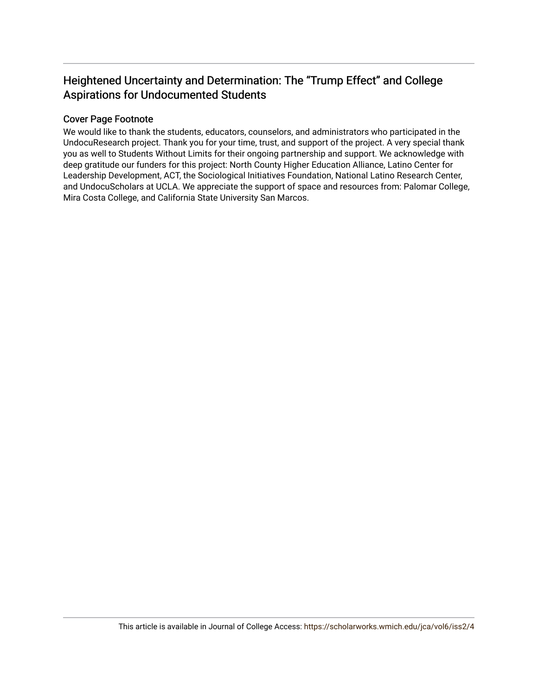## Heightened Uncertainty and Determination: The "Trump Effect" and College Aspirations for Undocumented Students

#### Cover Page Footnote

We would like to thank the students, educators, counselors, and administrators who participated in the UndocuResearch project. Thank you for your time, trust, and support of the project. A very special thank you as well to Students Without Limits for their ongoing partnership and support. We acknowledge with deep gratitude our funders for this project: North County Higher Education Alliance, Latino Center for Leadership Development, ACT, the Sociological Initiatives Foundation, National Latino Research Center, and UndocuScholars at UCLA. We appreciate the support of space and resources from: Palomar College, Mira Costa College, and California State University San Marcos.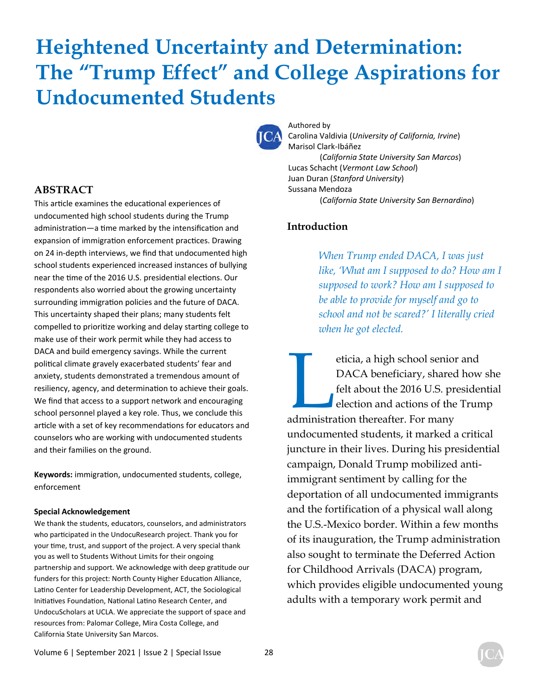# **Heightened Uncertainty and Determination: The "Trump Effect" and College Aspirations for Undocumented Students**



Authored by Carolina Valdivia (*University of California, Irvine*) Marisol Clark-Ibáñez (*California State University San Marcos*) Lucas Schacht (*Vermont Law School*) Juan Duran (*Stanford University*) Sussana Mendoza (*California State University San Bernardino*)

#### **Introduction**

*When Trump ended DACA, I was just like, 'What am I supposed to do? How am I supposed to work? How am I supposed to be able to provide for myself and go to school and not be scared?' I literally cried when he got elected.* 

eticia, a high school senior and<br>DACA beneficiary, shared how<br>felt about the 2016 U.S. presider<br>election and actions of the Trun<br>administration thereafter. For many DACA beneficiary, shared how she felt about the 2016 U.S. presidential election and actions of the Trump administration thereafter. For many undocumented students, it marked a critical juncture in their lives. During his presidential campaign, Donald Trump mobilized antiimmigrant sentiment by calling for the deportation of all undocumented immigrants and the fortification of a physical wall along the U.S.-Mexico border. Within a few months of its inauguration, the Trump administration also sought to terminate the Deferred Action for Childhood Arrivals (DACA) program, which provides eligible undocumented young adults with a temporary work permit and

#### **ABSTRACT**

This article examines the educational experiences of undocumented high school students during the Trump administration—a time marked by the intensification and expansion of immigration enforcement practices. Drawing on 24 in-depth interviews, we find that undocumented high school students experienced increased instances of bullying near the time of the 2016 U.S. presidential elections. Our respondents also worried about the growing uncertainty surrounding immigration policies and the future of DACA. This uncertainty shaped their plans; many students felt compelled to prioritize working and delay starting college to make use of their work permit while they had access to DACA and build emergency savings. While the current political climate gravely exacerbated students' fear and anxiety, students demonstrated a tremendous amount of resiliency, agency, and determination to achieve their goals. We find that access to a support network and encouraging school personnel played a key role. Thus, we conclude this article with a set of key recommendations for educators and counselors who are working with undocumented students and their families on the ground.

Keywords: immigration, undocumented students, college, enforcement

#### **Special Acknowledgement**

We thank the students, educators, counselors, and administrators who participated in the UndocuResearch project. Thank you for your time, trust, and support of the project. A very special thank you as well to Students Without Limits for their ongoing partnership and support. We acknowledge with deep gratitude our funders for this project: North County Higher Education Alliance, Latino Center for Leadership Development, ACT, the Sociological Initiatives Foundation, National Latino Research Center, and UndocuScholars at UCLA. We appreciate the support of space and resources from: Palomar College, Mira Costa College, and California State University San Marcos.

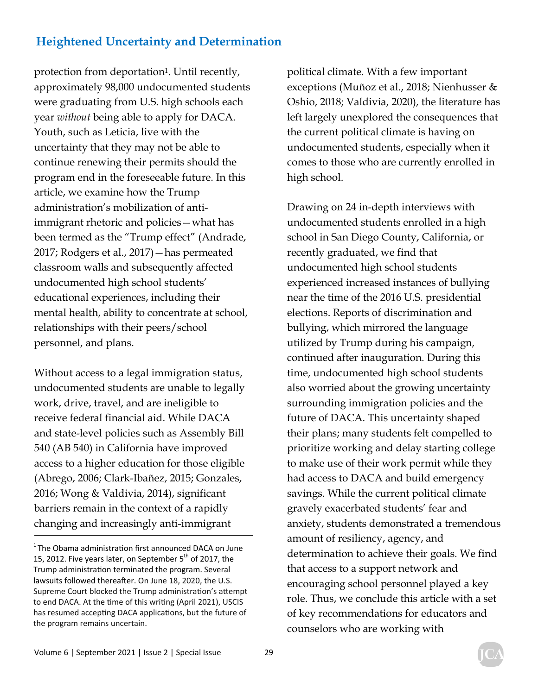protection from deportation<sup>1</sup>. Until recently, approximately 98,000 undocumented students were graduating from U.S. high schools each year *without* being able to apply for DACA. Youth, such as Leticia, live with the uncertainty that they may not be able to continue renewing their permits should the program end in the foreseeable future. In this article, we examine how the Trump administration's mobilization of antiimmigrant rhetoric and policies—what has been termed as the "Trump effect" (Andrade, 2017; Rodgers et al., 2017)—has permeated classroom walls and subsequently affected undocumented high school students' educational experiences, including their mental health, ability to concentrate at school, relationships with their peers/school personnel, and plans.

Without access to a legal immigration status, undocumented students are unable to legally work, drive, travel, and are ineligible to receive federal financial aid. While DACA and state-level policies such as Assembly Bill 540 (AB 540) in California have improved access to a higher education for those eligible (Abrego, 2006; Clark-Ibañez, 2015; Gonzales, 2016; Wong & Valdivia, 2014), significant barriers remain in the context of a rapidly changing and increasingly anti-immigrant

political climate. With a few important exceptions (Muñoz et al., 2018; Nienhusser & Oshio, 2018; Valdivia, 2020), the literature has left largely unexplored the consequences that the current political climate is having on undocumented students, especially when it comes to those who are currently enrolled in high school.

Drawing on 24 in-depth interviews with undocumented students enrolled in a high school in San Diego County, California, or recently graduated, we find that undocumented high school students experienced increased instances of bullying near the time of the 2016 U.S. presidential elections. Reports of discrimination and bullying, which mirrored the language utilized by Trump during his campaign, continued after inauguration. During this time, undocumented high school students also worried about the growing uncertainty surrounding immigration policies and the future of DACA. This uncertainty shaped their plans; many students felt compelled to prioritize working and delay starting college to make use of their work permit while they had access to DACA and build emergency savings. While the current political climate gravely exacerbated students' fear and anxiety, students demonstrated a tremendous amount of resiliency, agency, and determination to achieve their goals. We find that access to a support network and encouraging school personnel played a key role. Thus, we conclude this article with a set of key recommendations for educators and counselors who are working with

 $1$ The Obama administration first announced DACA on June 15, 2012. Five years later, on September  $5<sup>th</sup>$  of 2017, the Trump administration terminated the program. Several lawsuits followed thereafter. On June 18, 2020, the U.S. Supreme Court blocked the Trump administration's attempt to end DACA. At the time of this writing (April 2021), USCIS has resumed accepting DACA applications, but the future of the program remains uncertain.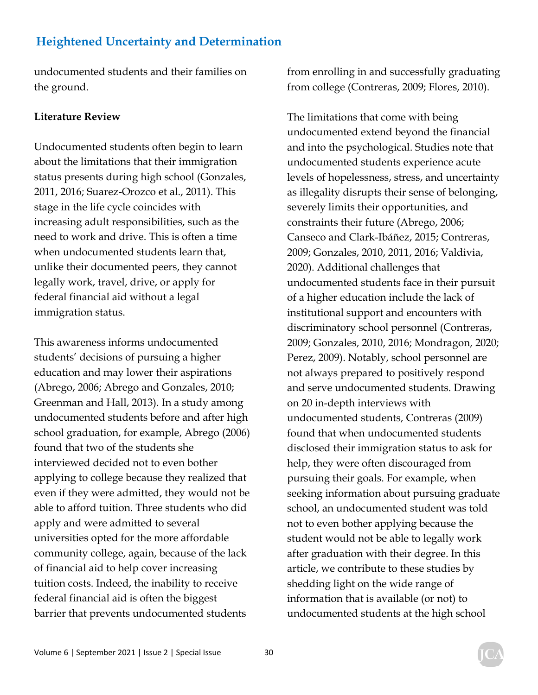undocumented students and their families on the ground.

#### **Literature Review**

Undocumented students often begin to learn about the limitations that their immigration status presents during high school (Gonzales, 2011, 2016; Suarez-Orozco et al., 2011). This stage in the life cycle coincides with increasing adult responsibilities, such as the need to work and drive. This is often a time when undocumented students learn that, unlike their documented peers, they cannot legally work, travel, drive, or apply for federal financial aid without a legal immigration status.

This awareness informs undocumented students' decisions of pursuing a higher education and may lower their aspirations (Abrego, 2006; Abrego and Gonzales, 2010; Greenman and Hall, 2013). In a study among undocumented students before and after high school graduation, for example, Abrego (2006) found that two of the students she interviewed decided not to even bother applying to college because they realized that even if they were admitted, they would not be able to afford tuition. Three students who did apply and were admitted to several universities opted for the more affordable community college, again, because of the lack of financial aid to help cover increasing tuition costs. Indeed, the inability to receive federal financial aid is often the biggest barrier that prevents undocumented students

from enrolling in and successfully graduating from college (Contreras, 2009; Flores, 2010).

The limitations that come with being undocumented extend beyond the financial and into the psychological. Studies note that undocumented students experience acute levels of hopelessness, stress, and uncertainty as illegality disrupts their sense of belonging, severely limits their opportunities, and constraints their future (Abrego, 2006; Canseco and Clark-Ibáñez, 2015; Contreras, 2009; Gonzales, 2010, 2011, 2016; Valdivia, 2020). Additional challenges that undocumented students face in their pursuit of a higher education include the lack of institutional support and encounters with discriminatory school personnel (Contreras, 2009; Gonzales, 2010, 2016; Mondragon, 2020; Perez, 2009). Notably, school personnel are not always prepared to positively respond and serve undocumented students. Drawing on 20 in-depth interviews with undocumented students, Contreras (2009) found that when undocumented students disclosed their immigration status to ask for help, they were often discouraged from pursuing their goals. For example, when seeking information about pursuing graduate school, an undocumented student was told not to even bother applying because the student would not be able to legally work after graduation with their degree. In this article, we contribute to these studies by shedding light on the wide range of information that is available (or not) to undocumented students at the high school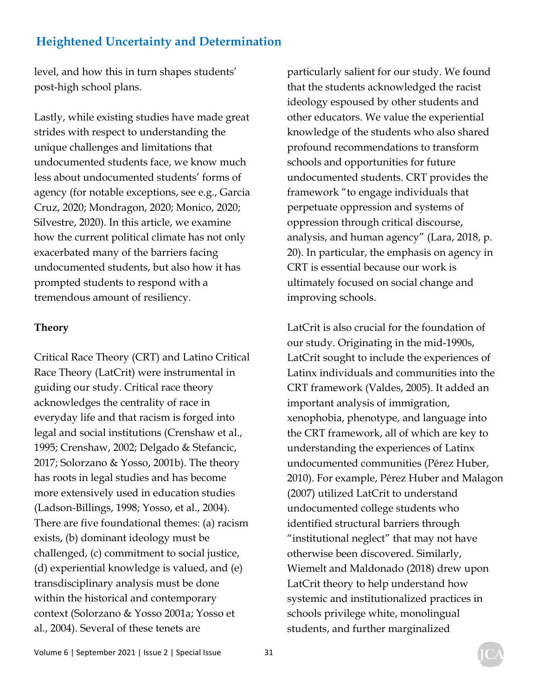level, and how this in turn shapes students' post-high school plans.

Lastly, while existing studies have made great strides with respect to understanding the unique challenges and limitations that undocumented students face, we know much less about undocumented students' forms of agency (for notable exceptions, see e.g., Garcia Cruz, 2020; Mondragon, 2020; Monico, 2020; Silvestre, 2020). In this article, we examine how the current political climate has not only exacerbated many of the barriers facing undocumented students, but also how it has prompted students to respond with a tremendous amount of resiliency.

#### **Theory**

Critical Race Theory (CRT) and Latino Critical Race Theory (LatCrit) were instrumental in guiding our study. Critical race theory acknowledges the centrality of race in everyday life and that racism is forged into legal and social institutions (Crenshaw et al., 1995; Crenshaw, 2002; Delgado & Stefancic, 2017; Solorzano & Yosso, 2001b). The theory has roots in legal studies and has become more extensively used in education studies (Ladson-Billings, 1998; Yosso, et al., 2004). There are five foundational themes: (a) racism exists, (b) dominant ideology must be challenged, (c) commitment to social justice, (d) experiential knowledge is valued, and (e) transdisciplinary analysis must be done within the historical and contemporary context (Solorzano & Yosso 2001a; Yosso et al., 2004). Several of these tenets are

particularly salient for our study. We found that the students acknowledged the racist ideology espoused by other students and other educators. We value the experiential knowledge of the students who also shared profound recommendations to transform schools and opportunities for future undocumented students. CRT provides the framework "to engage individuals that perpetuate oppression and systems of oppression through critical discourse, analysis, and human agency" (Lara, 2018, p. 20). In particular, the emphasis on agency in CRT is essential because our work is ultimately focused on social change and improving schools.

LatCrit is also crucial for the foundation of our study. Originating in the mid-1990s, LatCrit sought to include the experiences of Latinx individuals and communities into the CRT framework (Valdes, 2005). It added an important analysis of immigration, xenophobia, phenotype, and language into the CRT framework, all of which are key to understanding the experiences of Latinx undocumented communities (Pérez Huber, 2010). For example, Pérez Huber and Malagon (2007) utilized LatCrit to understand undocumented college students who identified structural barriers through "institutional neglect" that may not have otherwise been discovered. Similarly, Wiemelt and Maldonado (2018) drew upon LatCrit theory to help understand how systemic and institutionalized practices in schools privilege white, monolingual students, and further marginalized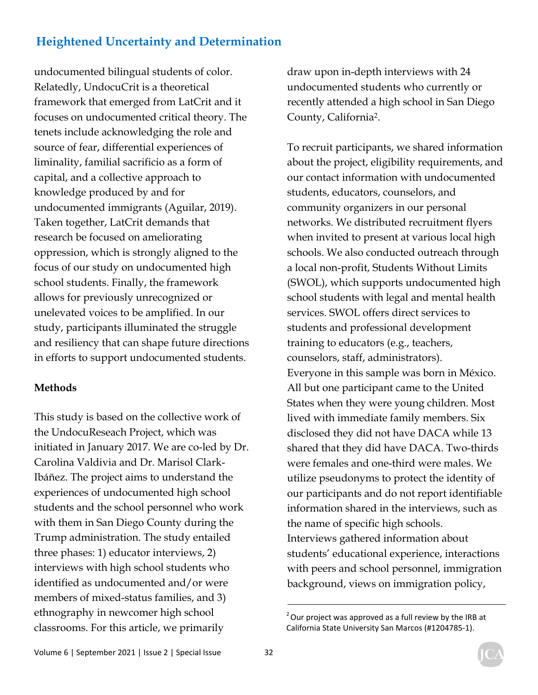undocumented bilingual students of color. Relatedly, UndocuCrit is a theoretical framework that emerged from LatCrit and it focuses on undocumented critical theory. The tenets include acknowledging the role and source of fear, differential experiences of liminality, familial sacrificio as a form of capital, and a collective approach to knowledge produced by and for undocumented immigrants (Aguilar, 2019). Taken together, LatCrit demands that research be focused on ameliorating oppression, which is strongly aligned to the focus of our study on undocumented high school students. Finally, the framework allows for previously unrecognized or unelevated voices to be amplified. In our study, participants illuminated the struggle and resiliency that can shape future directions in efforts to support undocumented students.

#### **Methods**

This study is based on the collective work of the UndocuReseach Project, which was initiated in January 2017. We are co-led by Dr. Carolina Valdivia and Dr. Marisol Clark-Ibáñez. The project aims to understand the experiences of undocumented high school students and the school personnel who work with them in San Diego County during the Trump administration. The study entailed three phases: 1) educator interviews, 2) interviews with high school students who identified as undocumented and/or were members of mixed-status families, and 3) ethnography in newcomer high school classrooms. For this article, we primarily

draw upon in-depth interviews with 24 undocumented students who currently or recently attended a high school in San Diego County, California2.

To recruit participants, we shared information about the project, eligibility requirements, and our contact information with undocumented students, educators, counselors, and community organizers in our personal networks. We distributed recruitment flyers when invited to present at various local high schools. We also conducted outreach through a local non-profit, Students Without Limits (SWOL), which supports undocumented high school students with legal and mental health services. SWOL offers direct services to students and professional development training to educators (e.g., teachers, counselors, staff, administrators). Everyone in this sample was born in México. All but one participant came to the United States when they were young children. Most lived with immediate family members. Six disclosed they did not have DACA while 13 shared that they did have DACA. Two-thirds were females and one-third were males. We utilize pseudonyms to protect the identity of our participants and do not report identifiable information shared in the interviews, such as the name of specific high schools. Interviews gathered information about students' educational experience, interactions with peers and school personnel, immigration background, views on immigration policy,

 $2$  Our project was approved as a full review by the IRB at California State University San Marcos (#1204785-1).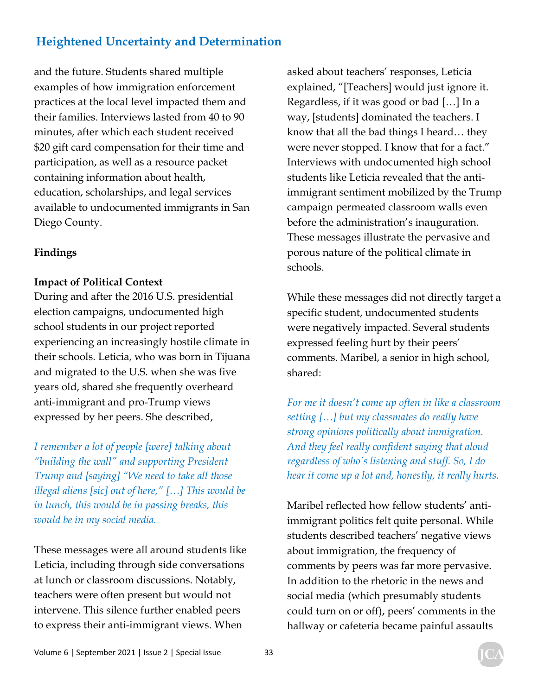and the future. Students shared multiple examples of how immigration enforcement practices at the local level impacted them and their families. Interviews lasted from 40 to 90 minutes, after which each student received \$20 gift card compensation for their time and participation, as well as a resource packet containing information about health, education, scholarships, and legal services available to undocumented immigrants in San Diego County.

#### **Findings**

#### **Impact of Political Context**

During and after the 2016 U.S. presidential election campaigns, undocumented high school students in our project reported experiencing an increasingly hostile climate in their schools. Leticia, who was born in Tijuana and migrated to the U.S. when she was five years old, shared she frequently overheard anti-immigrant and pro-Trump views expressed by her peers. She described,

*I remember a lot of people [were] talking about "building the wall" and supporting President Trump and [saying] "We need to take all those illegal aliens [sic] out of here," […] This would be in lunch, this would be in passing breaks, this would be in my social media.* 

These messages were all around students like Leticia, including through side conversations at lunch or classroom discussions. Notably, teachers were often present but would not intervene. This silence further enabled peers to express their anti-immigrant views. When

asked about teachers' responses, Leticia explained, "[Teachers] would just ignore it. Regardless, if it was good or bad […] In a way, [students] dominated the teachers. I know that all the bad things I heard… they were never stopped. I know that for a fact." Interviews with undocumented high school students like Leticia revealed that the antiimmigrant sentiment mobilized by the Trump campaign permeated classroom walls even before the administration's inauguration. These messages illustrate the pervasive and porous nature of the political climate in schools.

While these messages did not directly target a specific student, undocumented students were negatively impacted. Several students expressed feeling hurt by their peers' comments. Maribel, a senior in high school, shared:

*For me it doesn't come up often in like a classroom setting […] but my classmates do really have strong opinions politically about immigration. And they feel really confident saying that aloud regardless of who's listening and stuff. So, I do hear it come up a lot and, honestly, it really hurts.* 

Maribel reflected how fellow students' antiimmigrant politics felt quite personal. While students described teachers' negative views about immigration, the frequency of comments by peers was far more pervasive. In addition to the rhetoric in the news and social media (which presumably students could turn on or off), peers' comments in the hallway or cafeteria became painful assaults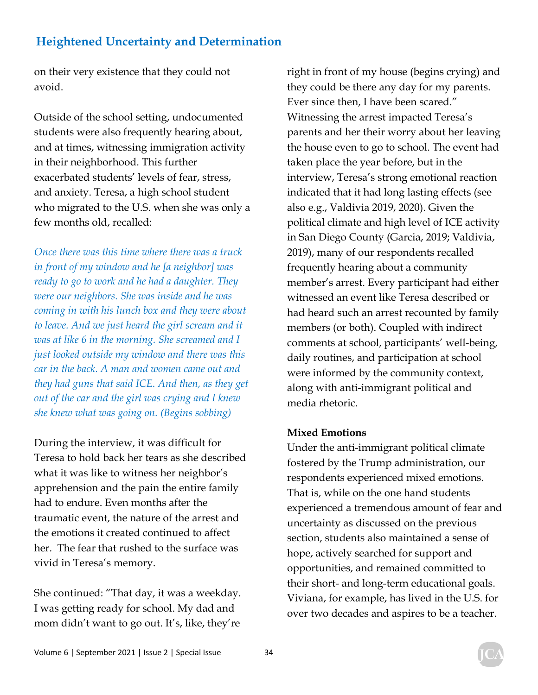on their very existence that they could not avoid.

Outside of the school setting, undocumented students were also frequently hearing about, and at times, witnessing immigration activity in their neighborhood. This further exacerbated students' levels of fear, stress, and anxiety. Teresa, a high school student who migrated to the U.S. when she was only a few months old, recalled:

*Once there was this time where there was a truck in front of my window and he [a neighbor] was ready to go to work and he had a daughter. They were our neighbors. She was inside and he was coming in with his lunch box and they were about to leave. And we just heard the girl scream and it was at like 6 in the morning. She screamed and I just looked outside my window and there was this car in the back. A man and women came out and they had guns that said ICE. And then, as they get out of the car and the girl was crying and I knew she knew what was going on. (Begins sobbing)* 

During the interview, it was difficult for Teresa to hold back her tears as she described what it was like to witness her neighbor's apprehension and the pain the entire family had to endure. Even months after the traumatic event, the nature of the arrest and the emotions it created continued to affect her. The fear that rushed to the surface was vivid in Teresa's memory.

She continued: "That day, it was a weekday. I was getting ready for school. My dad and mom didn't want to go out. It's, like, they're right in front of my house (begins crying) and they could be there any day for my parents. Ever since then, I have been scared." Witnessing the arrest impacted Teresa's parents and her their worry about her leaving the house even to go to school. The event had taken place the year before, but in the interview, Teresa's strong emotional reaction indicated that it had long lasting effects (see also e.g., Valdivia 2019, 2020). Given the political climate and high level of ICE activity in San Diego County (Garcia, 2019; Valdivia, 2019), many of our respondents recalled frequently hearing about a community member's arrest. Every participant had either witnessed an event like Teresa described or had heard such an arrest recounted by family members (or both). Coupled with indirect comments at school, participants' well-being, daily routines, and participation at school were informed by the community context, along with anti-immigrant political and media rhetoric.

#### **Mixed Emotions**

Under the anti-immigrant political climate fostered by the Trump administration, our respondents experienced mixed emotions. That is, while on the one hand students experienced a tremendous amount of fear and uncertainty as discussed on the previous section, students also maintained a sense of hope, actively searched for support and opportunities, and remained committed to their short- and long-term educational goals. Viviana, for example, has lived in the U.S. for over two decades and aspires to be a teacher.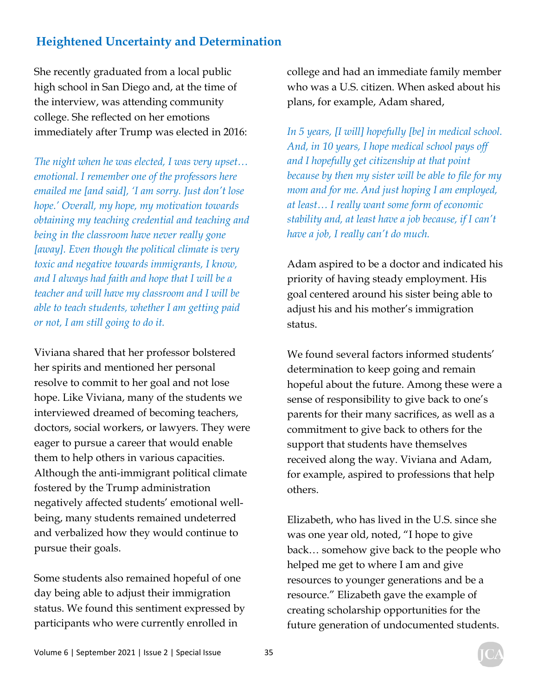She recently graduated from a local public high school in San Diego and, at the time of the interview, was attending community college. She reflected on her emotions immediately after Trump was elected in 2016:

*The night when he was elected, I was very upset… emotional. I remember one of the professors here emailed me [and said], 'I am sorry. Just don't lose hope.' Overall, my hope, my motivation towards obtaining my teaching credential and teaching and being in the classroom have never really gone [away]. Even though the political climate is very toxic and negative towards immigrants, I know, and I always had faith and hope that I will be a teacher and will have my classroom and I will be able to teach students, whether I am getting paid or not, I am still going to do it.* 

Viviana shared that her professor bolstered her spirits and mentioned her personal resolve to commit to her goal and not lose hope. Like Viviana, many of the students we interviewed dreamed of becoming teachers, doctors, social workers, or lawyers. They were eager to pursue a career that would enable them to help others in various capacities. Although the anti-immigrant political climate fostered by the Trump administration negatively affected students' emotional wellbeing, many students remained undeterred and verbalized how they would continue to pursue their goals.

Some students also remained hopeful of one day being able to adjust their immigration status. We found this sentiment expressed by participants who were currently enrolled in

college and had an immediate family member who was a U.S. citizen. When asked about his plans, for example, Adam shared,

*In 5 years, [I will] hopefully [be] in medical school. And, in 10 years, I hope medical school pays off and I hopefully get citizenship at that point because by then my sister will be able to file for my mom and for me. And just hoping I am employed, at least… I really want some form of economic stability and, at least have a job because, if I can't have a job, I really can't do much.* 

Adam aspired to be a doctor and indicated his priority of having steady employment. His goal centered around his sister being able to adjust his and his mother's immigration status.

We found several factors informed students' determination to keep going and remain hopeful about the future. Among these were a sense of responsibility to give back to one's parents for their many sacrifices, as well as a commitment to give back to others for the support that students have themselves received along the way. Viviana and Adam, for example, aspired to professions that help others.

Elizabeth, who has lived in the U.S. since she was one year old, noted, "I hope to give back… somehow give back to the people who helped me get to where I am and give resources to younger generations and be a resource." Elizabeth gave the example of creating scholarship opportunities for the future generation of undocumented students.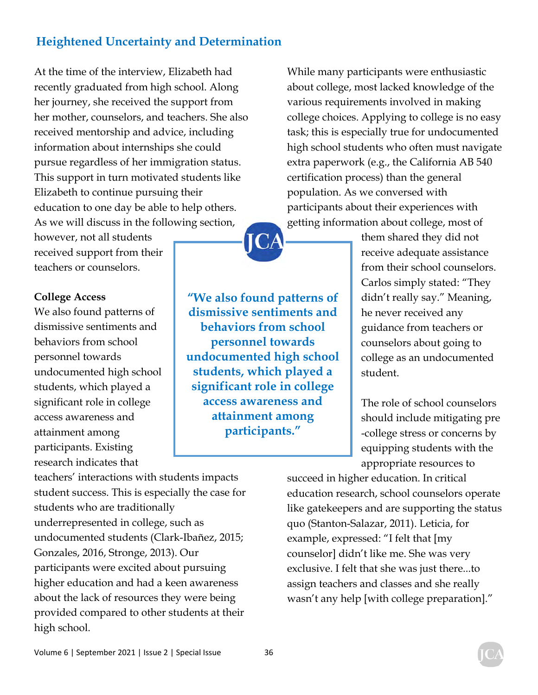At the time of the interview, Elizabeth had recently graduated from high school. Along her journey, she received the support from her mother, counselors, and teachers. She also received mentorship and advice, including information about internships she could pursue regardless of her immigration status. This support in turn motivated students like Elizabeth to continue pursuing their education to one day be able to help others. As we will discuss in the following section,

however, not all students received support from their teachers or counselors.

#### **College Access**

We also found patterns of dismissive sentiments and behaviors from school personnel towards undocumented high school students, which played a significant role in college access awareness and attainment among participants. Existing research indicates that

**"We also found patterns of dismissive sentiments and behaviors from school personnel towards undocumented high school students, which played a significant role in college access awareness and attainment among participants."** 

While many participants were enthusiastic about college, most lacked knowledge of the various requirements involved in making college choices. Applying to college is no easy task; this is especially true for undocumented high school students who often must navigate extra paperwork (e.g., the California AB 540 certification process) than the general population. As we conversed with participants about their experiences with getting information about college, most of

> them shared they did not receive adequate assistance from their school counselors. Carlos simply stated: "They didn't really say." Meaning, he never received any guidance from teachers or counselors about going to college as an undocumented student.

The role of school counselors should include mitigating pre -college stress or concerns by equipping students with the appropriate resources to

teachers' interactions with students impacts student success. This is especially the case for students who are traditionally underrepresented in college, such as undocumented students (Clark-Ibañez, 2015; Gonzales, 2016, Stronge, 2013). Our participants were excited about pursuing higher education and had a keen awareness about the lack of resources they were being provided compared to other students at their high school.

succeed in higher education. In critical education research, school counselors operate like gatekeepers and are supporting the status quo (Stanton-Salazar, 2011). Leticia, for example, expressed: "I felt that [my counselor] didn't like me. She was very exclusive. I felt that she was just there...to assign teachers and classes and she really wasn't any help [with college preparation]."

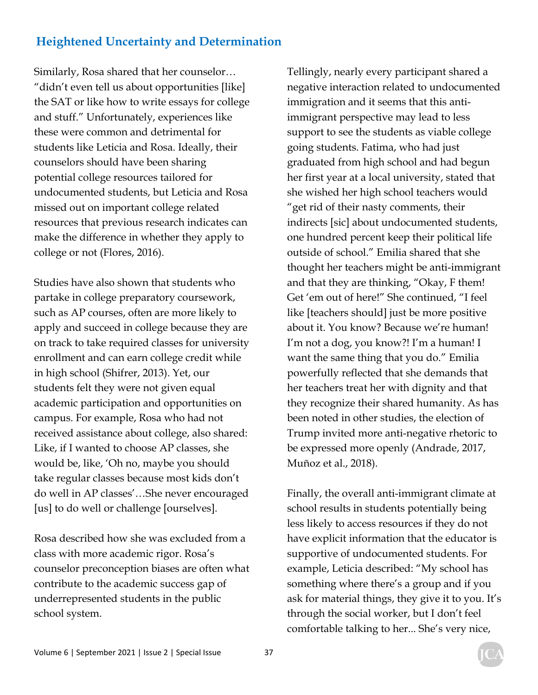Similarly, Rosa shared that her counselor… "didn't even tell us about opportunities [like] the SAT or like how to write essays for college and stuff." Unfortunately, experiences like these were common and detrimental for students like Leticia and Rosa. Ideally, their counselors should have been sharing potential college resources tailored for undocumented students, but Leticia and Rosa missed out on important college related resources that previous research indicates can make the difference in whether they apply to college or not (Flores, 2016).

Studies have also shown that students who partake in college preparatory coursework, such as AP courses, often are more likely to apply and succeed in college because they are on track to take required classes for university enrollment and can earn college credit while in high school (Shifrer, 2013). Yet, our students felt they were not given equal academic participation and opportunities on campus. For example, Rosa who had not received assistance about college, also shared: Like, if I wanted to choose AP classes, she would be, like, 'Oh no, maybe you should take regular classes because most kids don't do well in AP classes'…She never encouraged [us] to do well or challenge [ourselves].

Rosa described how she was excluded from a class with more academic rigor. Rosa's counselor preconception biases are often what contribute to the academic success gap of underrepresented students in the public school system.

Tellingly, nearly every participant shared a negative interaction related to undocumented immigration and it seems that this antiimmigrant perspective may lead to less support to see the students as viable college going students. Fatima, who had just graduated from high school and had begun her first year at a local university, stated that she wished her high school teachers would "get rid of their nasty comments, their indirects [sic] about undocumented students, one hundred percent keep their political life outside of school." Emilia shared that she thought her teachers might be anti-immigrant and that they are thinking, "Okay, F them! Get 'em out of here!" She continued, "I feel like [teachers should] just be more positive about it. You know? Because we're human! I'm not a dog, you know?! I'm a human! I want the same thing that you do." Emilia powerfully reflected that she demands that her teachers treat her with dignity and that they recognize their shared humanity. As has been noted in other studies, the election of Trump invited more anti-negative rhetoric to be expressed more openly (Andrade, 2017, Muñoz et al., 2018).

Finally, the overall anti-immigrant climate at school results in students potentially being less likely to access resources if they do not have explicit information that the educator is supportive of undocumented students. For example, Leticia described: "My school has something where there's a group and if you ask for material things, they give it to you. It's through the social worker, but I don't feel comfortable talking to her... She's very nice,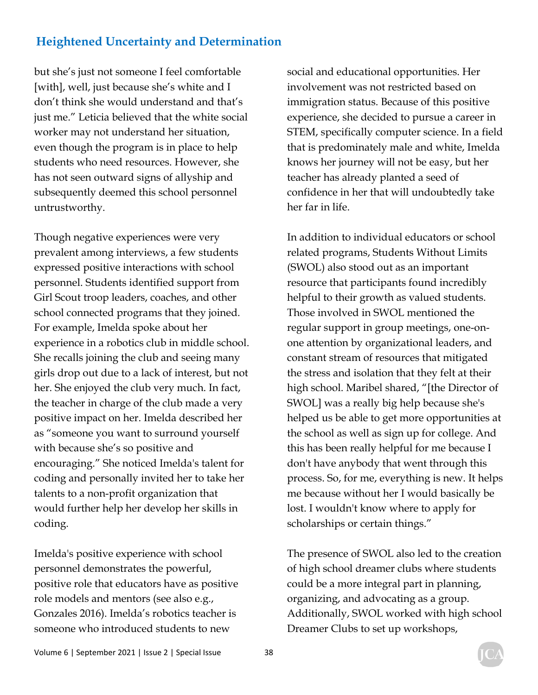but she's just not someone I feel comfortable [with], well, just because she's white and I don't think she would understand and that's just me." Leticia believed that the white social worker may not understand her situation, even though the program is in place to help students who need resources. However, she has not seen outward signs of allyship and subsequently deemed this school personnel untrustworthy.

Though negative experiences were very prevalent among interviews, a few students expressed positive interactions with school personnel. Students identified support from Girl Scout troop leaders, coaches, and other school connected programs that they joined. For example, Imelda spoke about her experience in a robotics club in middle school. She recalls joining the club and seeing many girls drop out due to a lack of interest, but not her. She enjoyed the club very much. In fact, the teacher in charge of the club made a very positive impact on her. Imelda described her as "someone you want to surround yourself with because she's so positive and encouraging." She noticed Imelda's talent for coding and personally invited her to take her talents to a non-profit organization that would further help her develop her skills in coding.

Imelda's positive experience with school personnel demonstrates the powerful, positive role that educators have as positive role models and mentors (see also e.g., Gonzales 2016). Imelda's robotics teacher is someone who introduced students to new

social and educational opportunities. Her involvement was not restricted based on immigration status. Because of this positive experience, she decided to pursue a career in STEM, specifically computer science. In a field that is predominately male and white, Imelda knows her journey will not be easy, but her teacher has already planted a seed of confidence in her that will undoubtedly take her far in life.

In addition to individual educators or school related programs, Students Without Limits (SWOL) also stood out as an important resource that participants found incredibly helpful to their growth as valued students. Those involved in SWOL mentioned the regular support in group meetings, one-onone attention by organizational leaders, and constant stream of resources that mitigated the stress and isolation that they felt at their high school. Maribel shared, "[the Director of SWOL] was a really big help because she's helped us be able to get more opportunities at the school as well as sign up for college. And this has been really helpful for me because I don't have anybody that went through this process. So, for me, everything is new. It helps me because without her I would basically be lost. I wouldn't know where to apply for scholarships or certain things."

The presence of SWOL also led to the creation of high school dreamer clubs where students could be a more integral part in planning, organizing, and advocating as a group. Additionally, SWOL worked with high school Dreamer Clubs to set up workshops,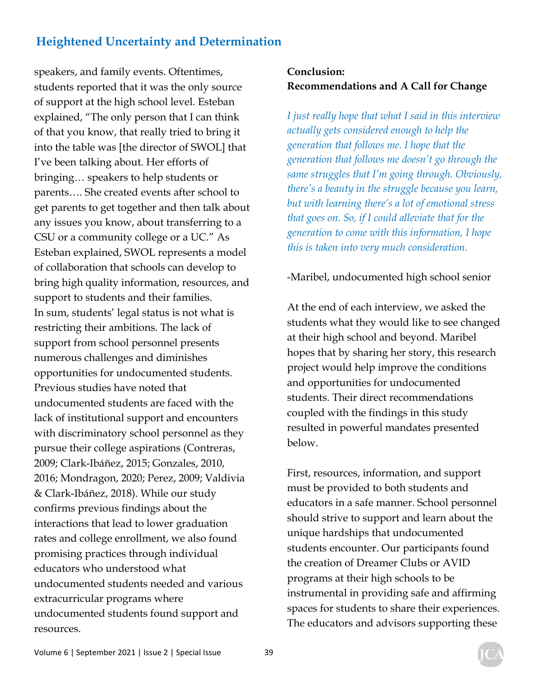speakers, and family events. Oftentimes, students reported that it was the only source of support at the high school level. Esteban explained, "The only person that I can think of that you know, that really tried to bring it into the table was [the director of SWOL] that I've been talking about. Her efforts of bringing… speakers to help students or parents…. She created events after school to get parents to get together and then talk about any issues you know, about transferring to a CSU or a community college or a UC." As Esteban explained, SWOL represents a model of collaboration that schools can develop to bring high quality information, resources, and support to students and their families. In sum, students' legal status is not what is restricting their ambitions. The lack of support from school personnel presents numerous challenges and diminishes opportunities for undocumented students. Previous studies have noted that undocumented students are faced with the lack of institutional support and encounters with discriminatory school personnel as they pursue their college aspirations (Contreras, 2009; Clark-Ibáñez, 2015; Gonzales, 2010, 2016; Mondragon, 2020; Perez, 2009; Valdivia & Clark-Ibáñez, 2018). While our study confirms previous findings about the interactions that lead to lower graduation rates and college enrollment, we also found promising practices through individual educators who understood what undocumented students needed and various extracurricular programs where undocumented students found support and resources.

#### **Conclusion: Recommendations and A Call for Change**

*I just really hope that what I said in this interview actually gets considered enough to help the generation that follows me. I hope that the generation that follows me doesn't go through the same struggles that I'm going through. Obviously, there's a beauty in the struggle because you learn, but with learning there's a lot of emotional stress that goes on. So, if I could alleviate that for the generation to come with this information, I hope this is taken into very much consideration.* 

#### -Maribel, undocumented high school senior

At the end of each interview, we asked the students what they would like to see changed at their high school and beyond. Maribel hopes that by sharing her story, this research project would help improve the conditions and opportunities for undocumented students. Their direct recommendations coupled with the findings in this study resulted in powerful mandates presented below.

First, resources, information, and support must be provided to both students and educators in a safe manner. School personnel should strive to support and learn about the unique hardships that undocumented students encounter. Our participants found the creation of Dreamer Clubs or AVID programs at their high schools to be instrumental in providing safe and affirming spaces for students to share their experiences. The educators and advisors supporting these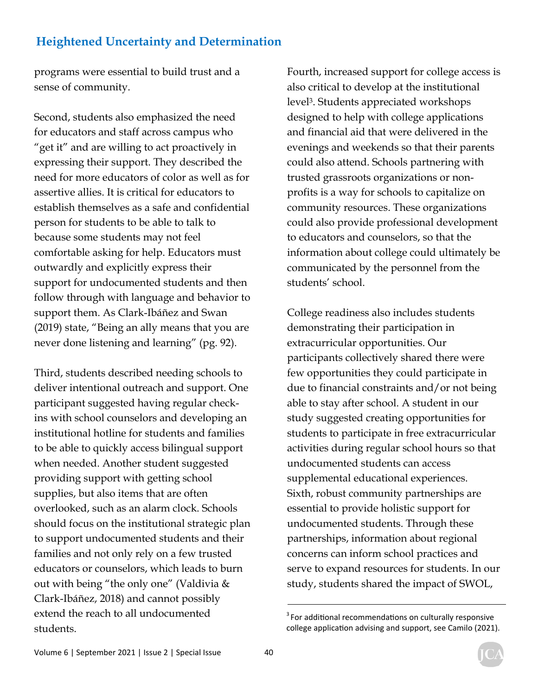programs were essential to build trust and a sense of community.

Second, students also emphasized the need for educators and staff across campus who "get it" and are willing to act proactively in expressing their support. They described the need for more educators of color as well as for assertive allies. It is critical for educators to establish themselves as a safe and confidential person for students to be able to talk to because some students may not feel comfortable asking for help. Educators must outwardly and explicitly express their support for undocumented students and then follow through with language and behavior to support them. As Clark-Ibáñez and Swan (2019) state, "Being an ally means that you are never done listening and learning" (pg. 92).

Third, students described needing schools to deliver intentional outreach and support. One participant suggested having regular checkins with school counselors and developing an institutional hotline for students and families to be able to quickly access bilingual support when needed. Another student suggested providing support with getting school supplies, but also items that are often overlooked, such as an alarm clock. Schools should focus on the institutional strategic plan to support undocumented students and their families and not only rely on a few trusted educators or counselors, which leads to burn out with being "the only one" (Valdivia & Clark-Ibáñez, 2018) and cannot possibly extend the reach to all undocumented students.

Fourth, increased support for college access is also critical to develop at the institutional level3. Students appreciated workshops designed to help with college applications and financial aid that were delivered in the evenings and weekends so that their parents could also attend. Schools partnering with trusted grassroots organizations or nonprofits is a way for schools to capitalize on community resources. These organizations could also provide professional development to educators and counselors, so that the information about college could ultimately be communicated by the personnel from the students' school.

College readiness also includes students demonstrating their participation in extracurricular opportunities. Our participants collectively shared there were few opportunities they could participate in due to financial constraints and/or not being able to stay after school. A student in our study suggested creating opportunities for students to participate in free extracurricular activities during regular school hours so that undocumented students can access supplemental educational experiences. Sixth, robust community partnerships are essential to provide holistic support for undocumented students. Through these partnerships, information about regional concerns can inform school practices and serve to expand resources for students. In our study, students shared the impact of SWOL,

 $3$  For additional recommendations on culturally responsive college application advising and support, see Camilo (2021).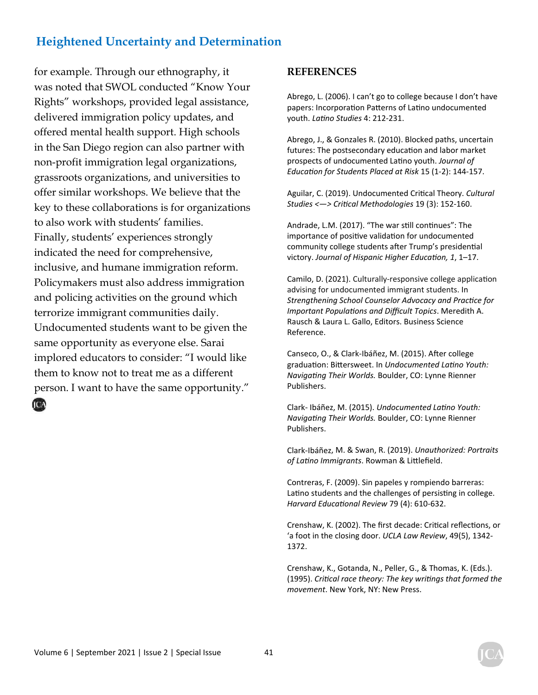for example. Through our ethnography, it was noted that SWOL conducted "Know Your Rights" workshops, provided legal assistance, delivered immigration policy updates, and offered mental health support. High schools in the San Diego region can also partner with non-profit immigration legal organizations, grassroots organizations, and universities to offer similar workshops. We believe that the key to these collaborations is for organizations to also work with students' families. Finally, students' experiences strongly indicated the need for comprehensive, inclusive, and humane immigration reform. Policymakers must also address immigration and policing activities on the ground which terrorize immigrant communities daily. Undocumented students want to be given the same opportunity as everyone else. Sarai implored educators to consider: "I would like them to know not to treat me as a different person. I want to have the same opportunity."

**REFERENCES**

Abrego, L. (2006). I can't go to college because I don't have papers: Incorporation Patterns of Latino undocumented youth. *LaƟno Studies* 4: 212-231.

Abrego, J., & Gonzales R. (2010). Blocked paths, uncertain futures: The postsecondary education and labor market prospects of undocumented LaƟno youth. *Journal of EducaƟon for Students Placed at Risk* 15 (1-2): 144-157.

Aguilar, C. (2019). Undocumented Critical Theory. *Cultural Studies <—> CriƟcal Methodologies* 19 (3): 152-160.

Andrade, L.M. (2017). "The war still continues": The importance of positive validation for undocumented community college students after Trump's presidential victory. Journal of Hispanic Higher Education, 1, 1-17.

Camilo, D. (2021). Culturally-responsive college application advising for undocumented immigrant students. In *Strengthening School Counselor Advocacy and Practice for Important PopulaƟons and Difficult Topics*. Meredith A. Rausch & Laura L. Gallo, Editors. Business Science Reference.

Canseco, O., & Clark-Ibáñez, M. (2015). After college graduation: Bittersweet. In *Undocumented Latino Youth: NavigaƟng Their Worlds.* Boulder, CO: Lynne Rienner Publishers.

Clark- Ibáñez, M. (2015). *Undocumented LaƟno Youth: NavigaƟng Their Worlds.* Boulder, CO: Lynne Rienner Publishers.

Clark-Ibáñez, M. & Swan, R. (2019). *Unauthorized: Portraits of LaƟno Immigrants*. Rowman & LiƩlefield.

Contreras, F. (2009). Sin papeles y rompiendo barreras: Latino students and the challenges of persisting in college. *Harvard EducaƟonal Review* 79 (4): 610-632.

Crenshaw, K. (2002). The first decade: Critical reflections, or 'a foot in the closing door. *UCLA Law Review*, 49(5), 1342- 1372.

Crenshaw, K., Gotanda, N., Peller, G., & Thomas, K. (Eds.). (1995). *CriƟcal race theory: The key wriƟngs that formed the movement*. New York, NY: New Press.

ICA

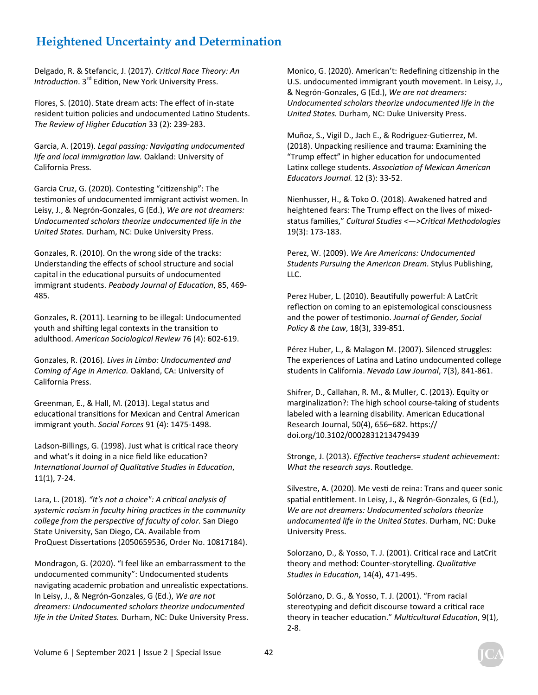Delgado, R. & Stefancic, J. (2017). *CriƟcal Race Theory: An Introduction*. 3<sup>rd</sup> Edition, New York University Press.

Flores, S. (2010). State dream acts: The effect of in-state resident tuition policies and undocumented Latino Students. *The Review of Higher EducaƟon* 33 (2): 239-283.

Garcia, A. (2019). *Legal passing: Navigating undocumented life and local immigraƟon law.* Oakland: University of California Press.

Garcia Cruz, G. (2020). Contesting "citizenship": The testimonies of undocumented immigrant activist women. In Leisy, J., & Negrón-Gonzales, G (Ed.), *We are not dreamers: Undocumented scholars theorize undocumented life in the United States.* Durham, NC: Duke University Press.

Gonzales, R. (2010). On the wrong side of the tracks: Understanding the effects of school structure and social capital in the educational pursuits of undocumented immigrant students. Peabody Journal of Education, 85, 469-485.

Gonzales, R. (2011). Learning to be illegal: Undocumented youth and shifting legal contexts in the transition to adulthood. *American Sociological Review* 76 (4): 602-619.

Gonzales, R. (2016). *Lives in Limbo: Undocumented and Coming of Age in America.* Oakland, CA: University of California Press.

Greenman, E., & Hall, M. (2013). Legal status and educational transitions for Mexican and Central American immigrant youth. *Social Forces* 91 (4): 1475-1498.

Ladson-Billings, G. (1998). Just what is critical race theory and what's it doing in a nice field like education? *InternaƟonal Journal of QualitaƟve Studies in EducaƟon*, 11(1), 7-24.

Lara, L. (2018). "It's not a choice": A critical analysis of *systemic racism in faculty hiring pracƟces in the community college from the perspecƟve of faculty of color.* San Diego State University, San Diego, CA. Available from ProQuest Dissertations (2050659536, Order No. 10817184).

Mondragon, G. (2020). "I feel like an embarrassment to the undocumented community": Undocumented students navigating academic probation and unrealistic expectations. In Leisy, J., & Negrón-Gonzales, G (Ed.), *We are not dreamers: Undocumented scholars theorize undocumented life in the United States.* Durham, NC: Duke University Press. Monico, G. (2020). American't: Redefining citizenship in the U.S. undocumented immigrant youth movement. In Leisy, J., & Negrón-Gonzales, G (Ed.), *We are not dreamers: Undocumented scholars theorize undocumented life in the United States.* Durham, NC: Duke University Press.

Muñoz, S., Vigil D., Jach E., & Rodriguez-Gutierrez, M. (2018). Unpacking resilience and trauma: Examining the "Trump effect" in higher education for undocumented Latinx college students. Association of Mexican American *Educators Journal.* 12 (3): 33-52.

Nienhusser, H., & Toko O. (2018). Awakened hatred and heightened fears: The Trump effect on the lives of mixedstatus families," Cultural Studies <-> > Critical Methodologies 19(3): 173-183.

Perez, W. (2009). *We Are Americans: Undocumented Students Pursuing the American Dream.* Stylus Publishing, LLC.

Perez Huber, L. (2010). Beautifully powerful: A LatCrit reflection on coming to an epistemological consciousness and the power of testimonio. Journal of Gender, Social *Policy & the Law*, 18(3), 339-851.

Pérez Huber, L., & Malagon M. (2007). Silenced struggles: The experiences of Latina and Latino undocumented college students in California. *Nevada Law Journal*, 7(3), 841-861.

Shifrer, D., Callahan, R. M., & Muller, C. (2013). Equity or marginalization?: The high school course-taking of students labeled with a learning disability. American Educational Research Journal, 50(4), 656-682. https:// doi.org/10.3102/0002831213479439

Stronge, J. (2013). *EffecƟve teachers= student achievement: What the research says*. Routledge.

Silvestre, A. (2020). Me vesti de reina: Trans and queer sonic spatial entitlement. In Leisy, J., & Negrón-Gonzales, G (Ed.), *We are not dreamers: Undocumented scholars theorize undocumented life in the United States.* Durham, NC: Duke University Press.

Solorzano, D., & Yosso, T. J. (2001). Critical race and LatCrit theory and method: Counter-storytelling. *Qualitative Studies in EducaƟon*, 14(4), 471-495.

Solórzano, D. G., & Yosso, T. J. (2001). "From racial stereotyping and deficit discourse toward a critical race theory in teacher educaƟon." *MulƟcultural EducaƟon*, 9(1), 2-8.